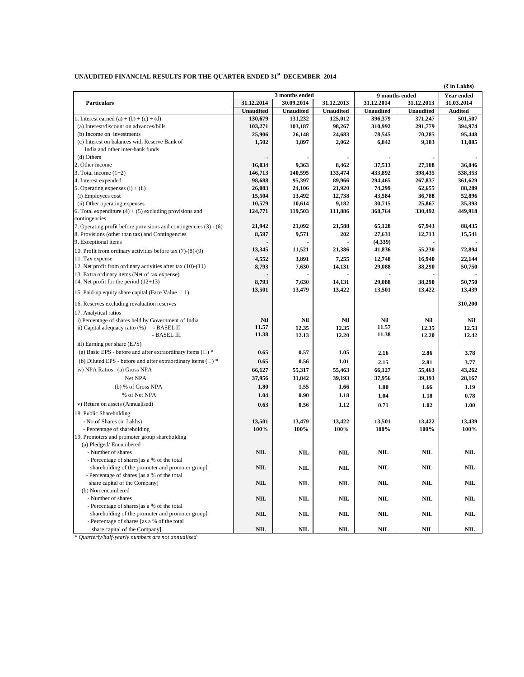| UNAUDITED FINANCIAL RESULTS FOR THE QUARTER ENDED 31st DECEMBER 2014 |  |  |
|----------------------------------------------------------------------|--|--|
|----------------------------------------------------------------------|--|--|

|                                                                            | ( ₹ in Lakhs)    |                  |                  |                  |                  |                   |
|----------------------------------------------------------------------------|------------------|------------------|------------------|------------------|------------------|-------------------|
|                                                                            | 3 months ended   |                  |                  | 9 months ended   |                  | <b>Year ended</b> |
| <b>Particulars</b>                                                         | 31.12.2014       | 30.09.2014       | 31.12.2013       | 31.12.2014       | 31.12.2013       | 31.03.2014        |
|                                                                            | <b>Unaudited</b> | <b>Unaudited</b> | <b>Unaudited</b> | <b>Unaudited</b> | <b>Unaudited</b> | <b>Audited</b>    |
| 1. Interest earned (a) + (b) + (c) + (d)                                   | 130,679          | 131,232          | 125,012          | 396,379          | 371,247          | 501,507           |
| (a) Interest/discount on advances/bills                                    | 103,271          | 103,187          | 98,267           | 310,992          | 291,779          | 394.974           |
| (b) Income on investments                                                  | 25,906           | 26,148           | 24,683           | 78,545           | 70,285           | 95,448            |
| (c) Interest on balances with Reserve Bank of                              | 1,502            | 1,897            | 2,062            | 6,842            | 9,183            | 11,085            |
| India and other inter-bank funds                                           |                  |                  |                  |                  |                  |                   |
| (d) Others                                                                 |                  |                  |                  |                  |                  |                   |
| 2. Other income                                                            | 16,034           | 9,363            | 8,462            | 37,513           | 27,188           | 36.846            |
| 3. Total income $(1+2)$                                                    | 146,713          | 140,595          | 133,474          | 433,892          | 398,435          | 538,353           |
| 4. Interest expended                                                       | 98,688           | 95,397           | 89.966           | 294,465          | 267,837          | 361,629           |
| 5. Operating expenses $(i) + (ii)$                                         | 26,083           | 24,106           | 21,920           | 74,299           | 62,655           | 88,289            |
| (i) Employees cost                                                         | 15,504           | 13,492           | 12,738           | 43,584           | 36,788           | 52,896            |
| (ii) Other operating expenses                                              | 10,579           | 10,614           | 9,182            | 30,715           | 25,867           | 35,393            |
| 6. Total expenditure $(4) + (5)$ excluding provisions and<br>contingencies | 124,771          | 119,503          | 111,886          | 368,764          | 330,492          | 449,918           |
| 7. Operating profit before provisions and contingencies $(3) - (6)$        | 21,942           | 21,092           | 21,588           | 65,128           | 67,943           | 88,435            |
| 8. Provisions (other than tax) and Contingencies                           | 8,597            | 9,571            | 202              | 27,631           | 12,713           | 15,541            |
| 9. Exceptional items                                                       |                  |                  |                  | (4,339)          |                  |                   |
|                                                                            | 13,345           | 11,521           | 21,386           | 41,836           | 55,230           | 72,894            |
| 10. Profit from ordinary activities before tax (7)-(8)-(9)                 |                  |                  |                  |                  |                  |                   |
| 11. Tax expense                                                            | 4,552            | 3,891            | 7,255            | 12,748           | 16,940           | 22,144            |
| 12. Net profit from ordinary activities after tax (10)-(11)                | 8,793            | 7,630            | 14,131           | 29,088           | 38,290           | 50,750            |
| 13. Extra ordinary items (Net of tax expense)                              |                  |                  |                  |                  |                  |                   |
| 14. Net profit for the period $(12+13)$                                    | 8,793            | 7,630            | 14,131           | 29,088           | 38,290           | 50,750            |
| 15. Paid-up equity share capital (Face Value $\Box$ 1)                     | 13,501           | 13,479           | 13,422           | 13,501           | 13,422           | 13,439            |
| 16. Reserves excluding revaluation reserves                                |                  |                  |                  |                  |                  | 310,200           |
| 17. Analytical ratios                                                      |                  |                  |                  |                  |                  |                   |
| i) Percentage of shares held by Government of India                        | Nil              | Nil              | Nil              | Nil              | Nil              | Nil               |
| ii) Capital adequacy ratio (%)<br>- BASEL II                               | 11.57            | 12.35            | 12.35            | 11.57            | 12.35            | 12.53             |
| - BASEL III                                                                | 11.38            | 12.13            | 12.20            | 11.38            | 12.20            | 12.42             |
| iii) Earning per share (EPS)                                               |                  |                  |                  |                  |                  |                   |
| (a) Basic EPS - before and after extraordinary items $(\square)^*$         | 0.65             | 0.57             | 1.05             | 2.16             | 2.86             | 3.78              |
| (b) Diluted EPS - before and after extraordinary items $(\square)^*$       | 0.65             | 0.56             | 1.01             | 2.15             | 2.81             | 3.77              |
| iv) NPA Ratios (a) Gross NPA                                               | 66,127           | 55,317           | 55,463           | 66,127           | 55,463           | 43,262            |
| Net NPA                                                                    |                  |                  |                  |                  |                  |                   |
|                                                                            | 37,956           | 31,842           | 39,193           | 37,956           | 39,193           | 28,167            |
| (b) % of Gross NPA                                                         | 1.80             | 1.55             | 1.66             | 1.80             | 1.66             | 1.19              |
| % of Net NPA                                                               | 1.04             | 0.90             | 1.18             | 1.04             | 1.18             | 0.78              |
| v) Return on assets (Annualised)                                           | 0.63             | 0.56             | 1.12             | 0.71             | 1.02             | 1.00              |
| 18. Public Shareholding                                                    |                  |                  |                  |                  |                  |                   |
| - No.of Shares (in Lakhs)                                                  | 13,501           | 13,479           | 13,422           | 13,501           | 13,422           | 13,439            |
| - Percentage of shareholding                                               | 100%             | 100%             | 100%             | 100%             | 100%             | 100%              |
| 19. Promoters and promoter group shareholding                              |                  |                  |                  |                  |                  |                   |
| (a) Pledged/Encumbered                                                     |                  |                  |                  |                  |                  |                   |
| - Number of shares                                                         | <b>NIL</b>       | <b>NIL</b>       | <b>NIL</b>       | <b>NIL</b>       | <b>NIL</b>       | <b>NIL</b>        |
| - Percentage of shares[as a % of the total                                 |                  |                  |                  |                  |                  |                   |
| shareholding of the promoter and promoter group]                           | $\bf NIL$        | $\mathbf{NIL}$   | <b>NIL</b>       | $\mathbf{NIL}$   | $\bf NIL$        | <b>NIL</b>        |
| - Percentage of shares [as a % of the total                                |                  |                  |                  |                  |                  |                   |
| share capital of the Company]                                              | <b>NIL</b>       | NIL              | <b>NIL</b>       | <b>NIL</b>       | <b>NIL</b>       | NIL               |
| (b) Non encumbered                                                         |                  |                  |                  |                  |                  |                   |
| - Number of shares                                                         | NIL              | NIL              | <b>NIL</b>       | <b>NIL</b>       | <b>NIL</b>       | NIL               |
| - Percentage of shares[as a % of the total                                 |                  |                  |                  |                  |                  |                   |
| shareholding of the promoter and promoter group]                           | NIL              | NIL              | <b>NIL</b>       | <b>NIL</b>       | NIL              | NIL               |
| - Percentage of shares [as a % of the total                                |                  |                  |                  |                  |                  |                   |
| share capital of the Company]                                              | NIL              | <b>NIL</b>       | <b>NIL</b>       | <b>NIL</b>       | NIL              | NIL               |
| * Quarterly/half yearly numbers are not annualised                         |                  |                  |                  |                  |                  |                   |

\* *Quarterly/half-yearly numbers are not annualised*